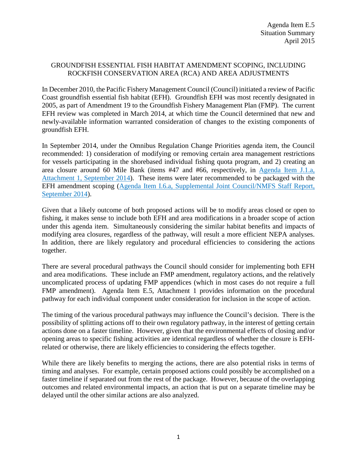## GROUNDFISH ESSENTIAL FISH HABITAT AMENDMENT SCOPING, INCLUDING ROCKFISH CONSERVATION AREA (RCA) AND AREA ADJUSTMENTS

In December 2010, the Pacific Fishery Management Council (Council) initiated a review of Pacific Coast groundfish essential fish habitat (EFH). Groundfish EFH was most recently designated in 2005, as part of Amendment 19 to the Groundfish Fishery Management Plan (FMP). The current EFH review was completed in March 2014, at which time the Council determined that new and newly-available information warranted consideration of changes to the existing components of groundfish EFH.

In September 2014, under the Omnibus Regulation Change Priorities agenda item, the Council recommended: 1) consideration of modifying or removing certain area management restrictions for vessels participating in the shorebased individual fishing quota program, and 2) creating an area closure around 60 Mile Bank (items #47 and #66, respectively, in [Agenda Item J.1.a,](http://www.pcouncil.org/wp-content/uploads/J1a_Att1_TheList_SEPT2014BB.pdf)  [Attachment 1, September 2014\)](http://www.pcouncil.org/wp-content/uploads/J1a_Att1_TheList_SEPT2014BB.pdf). These items were later recommended to be packaged with the EFH amendment scoping [\(Agenda Item I.6.a, Supplemental Joint Council/NMFS Staff Report,](http://www.pcouncil.org/wp-content/uploads/I6a_Sup_Joint_NMFSandPFMCstaff_Rpt_SEPT2014BB.pdf)  [September 2014\)](http://www.pcouncil.org/wp-content/uploads/I6a_Sup_Joint_NMFSandPFMCstaff_Rpt_SEPT2014BB.pdf).

Given that a likely outcome of both proposed actions will be to modify areas closed or open to fishing, it makes sense to include both EFH and area modifications in a broader scope of action under this agenda item. Simultaneously considering the similar habitat benefits and impacts of modifying area closures, regardless of the pathway, will result a more efficient NEPA analyses. In addition, there are likely regulatory and procedural efficiencies to considering the actions together.

There are several procedural pathways the Council should consider for implementing both EFH and area modifications. These include an FMP amendment, regulatory actions, and the relatively uncomplicated process of updating FMP appendices (which in most cases do not require a full FMP amendment). Agenda Item E.5, Attachment 1 provides information on the procedural pathway for each individual component under consideration for inclusion in the scope of action.

The timing of the various procedural pathways may influence the Council's decision. There is the possibility of splitting actions off to their own regulatory pathway, in the interest of getting certain actions done on a faster timeline. However, given that the environmental effects of closing and/or opening areas to specific fishing activities are identical regardless of whether the closure is EFHrelated or otherwise, there are likely efficiencies to considering the effects together.

While there are likely benefits to merging the actions, there are also potential risks in terms of timing and analyses. For example, certain proposed actions could possibly be accomplished on a faster timeline if separated out from the rest of the package. However, because of the overlapping outcomes and related environmental impacts, an action that is put on a separate timeline may be delayed until the other similar actions are also analyzed.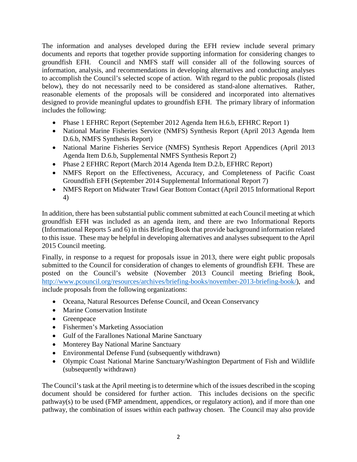The information and analyses developed during the EFH review include several primary documents and reports that together provide supporting information for considering changes to groundfish EFH. Council and NMFS staff will consider all of the following sources of information, analysis, and recommendations in developing alternatives and conducting analyses to accomplish the Council's selected scope of action. With regard to the public proposals (listed below), they do not necessarily need to be considered as stand-alone alternatives. Rather, reasonable elements of the proposals will be considered and incorporated into alternatives designed to provide meaningful updates to groundfish EFH. The primary library of information includes the following:

- Phase 1 EFHRC Report (September 2012 Agenda Item H.6.b, EFHRC Report 1)
- National Marine Fisheries Service (NMFS) Synthesis Report (April 2013 Agenda Item D.6.b, NMFS Synthesis Report)
- National Marine Fisheries Service (NMFS) Synthesis Report Appendices (April 2013 Agenda Item D.6.b, Supplemental NMFS Synthesis Report 2)
- Phase 2 EFHRC Report (March 2014 Agenda Item D.2.b, EFHRC Report)
- NMFS Report on the Effectiveness, Accuracy, and Completeness of Pacific Coast Groundfish EFH (September 2014 Supplemental Informational Report 7)
- NMFS Report on Midwater Trawl Gear Bottom Contact (April 2015 Informational Report 4)

In addition, there has been substantial public comment submitted at each Council meeting at which groundfish EFH was included as an agenda item, and there are two Informational Reports (Informational Reports 5 and 6) in this Briefing Book that provide background information related to this issue. These may be helpful in developing alternatives and analyses subsequent to the April 2015 Council meeting.

Finally, in response to a request for proposals issue in 2013, there were eight public proposals submitted to the Council for consideration of changes to elements of groundfish EFH. These are posted on the Council's website (November 2013 Council meeting Briefing Book, [http://www.pcouncil.org/resources/archives/briefing-books/november-2013-briefing-book/\)](http://www.pcouncil.org/resources/archives/briefing-books/november-2013-briefing-book/), and include proposals from the following organizations:

- Oceana, Natural Resources Defense Council, and Ocean Conservancy
- Marine Conservation Institute
- Greenpeace
- Fishermen's Marketing Association
- Gulf of the Farallones National Marine Sanctuary
- Monterey Bay National Marine Sanctuary
- Environmental Defense Fund (subsequently withdrawn)
- Olympic Coast National Marine Sanctuary/Washington Department of Fish and Wildlife (subsequently withdrawn)

The Council's task at the April meeting is to determine which of the issues described in the scoping document should be considered for further action. This includes decisions on the specific pathway(s) to be used (FMP amendment, appendices, or regulatory action), and if more than one pathway, the combination of issues within each pathway chosen. The Council may also provide